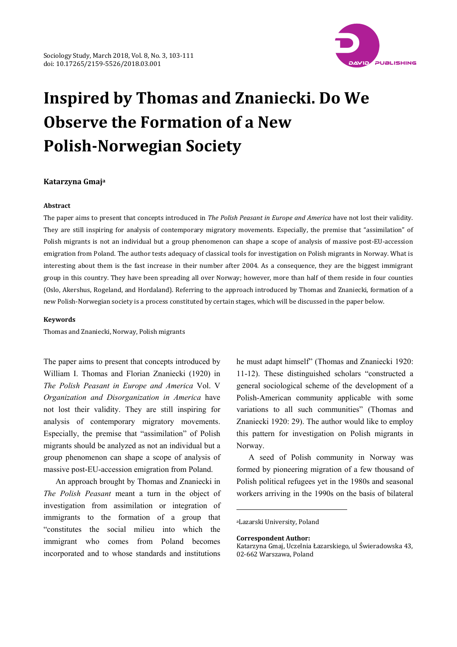

# **Inspired by Thomas and Znaniecki. Do We Observe the Formation of a New PolishNorwegian Society**

#### **Katarzyna Gmaja**

#### **Abstract**

The paper aims to present that concepts introduced in *The Polish Peasant in Europe and America* have not lost their validity. They are still inspiring for analysis of contemporary migratory movements. Especially, the premise that "assimilation" of Polish migrants is not an individual but a group phenomenon can shape a scope of analysis of massive post-EU-accession emigration from Poland. The author tests adequacy of classical tools for investigation on Polish migrants in Norway. What is interesting about them is the fast increase in their number after 2004. As a consequence, they are the biggest immigrant group in this country. They have been spreading all over Norway; however, more than half of them reside in four counties (Oslo, Akershus, Rogeland, and Hordaland). Referring to the approach introduced by Thomas and Znaniecki, formation of a new Polish‐Norwegian society is a process constituted by certain stages, which will be discussed in the paper below.

#### **Keywords**

Thomas and Znaniecki, Norway, Polish migrants

The paper aims to present that concepts introduced by William I. Thomas and Florian Znaniecki (1920) in *The Polish Peasant in Europe and America* Vol. V *Organization and Disorganization in America* have not lost their validity. They are still inspiring for analysis of contemporary migratory movements. Especially, the premise that "assimilation" of Polish migrants should be analyzed as not an individual but a group phenomenon can shape a scope of analysis of massive post-EU-accession emigration from Poland.

An approach brought by Thomas and Znaniecki in *The Polish Peasant* meant a turn in the object of investigation from assimilation or integration of immigrants to the formation of a group that "constitutes the social milieu into which the immigrant who comes from Poland becomes incorporated and to whose standards and institutions

he must adapt himself" (Thomas and Znaniecki 1920: 11-12). These distinguished scholars "constructed a general sociological scheme of the development of a Polish-American community applicable with some variations to all such communities" (Thomas and Znaniecki 1920: 29). The author would like to employ this pattern for investigation on Polish migrants in Norway.

A seed of Polish community in Norway was formed by pioneering migration of a few thousand of Polish political refugees yet in the 1980s and seasonal workers arriving in the 1990s on the basis of bilateral

aLazarski University, Poland

1

**Correspondent Author:**

Katarzyna Gmaj, Uczelnia Łazarskiego, ul Świeradowska 43, 02‐662 Warszawa, Poland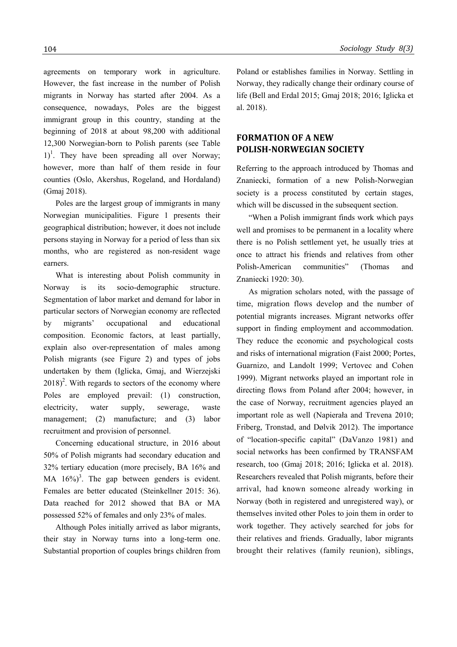agreements on temporary work in agriculture. However, the fast increase in the number of Polish migrants in Norway has started after 2004. As a consequence, nowadays, Poles are the biggest immigrant group in this country, standing at the beginning of 2018 at about 98,200 with additional 12,300 Norwegian-born to Polish parents (see Table  $1$ <sup>1</sup>. They have been spreading all over Norway; however, more than half of them reside in four counties (Oslo, Akershus, Rogeland, and Hordaland) (Gmaj 2018).

Poles are the largest group of immigrants in many Norwegian municipalities. Figure 1 presents their geographical distribution; however, it does not include persons staying in Norway for a period of less than six months, who are registered as non-resident wage earners.

What is interesting about Polish community in Norway is its socio-demographic structure. Segmentation of labor market and demand for labor in particular sectors of Norwegian economy are reflected by migrants' occupational and educational composition. Economic factors, at least partially, explain also over-representation of males among Polish migrants (see Figure 2) and types of jobs undertaken by them (Iglicka, Gmaj, and Wierzejski  $2018$ <sup>2</sup>. With regards to sectors of the economy where Poles are employed prevail: (1) construction, electricity, water supply, sewerage, waste management; (2) manufacture; and (3) labor recruitment and provision of personnel.

Concerning educational structure, in 2016 about 50% of Polish migrants had secondary education and 32% tertiary education (more precisely, BA 16% and MA  $16\%$ <sup>3</sup>. The gap between genders is evident. Females are better educated (Steinkellner 2015: 36). Data reached for 2012 showed that BA or MA possessed 52% of females and only 23% of males.

Although Poles initially arrived as labor migrants, their stay in Norway turns into a long-term one. Substantial proportion of couples brings children from Poland or establishes families in Norway. Settling in Norway, they radically change their ordinary course of life (Bell and Erdal 2015; Gmaj 2018; 2016; Iglicka et al. 2018).

# **FORMATION OF A NEW POLISHNORWEGIAN SOCIETY**

Referring to the approach introduced by Thomas and Znaniecki, formation of a new Polish-Norwegian society is a process constituted by certain stages, which will be discussed in the subsequent section.

"When a Polish immigrant finds work which pays well and promises to be permanent in a locality where there is no Polish settlement yet, he usually tries at once to attract his friends and relatives from other Polish-American communities" (Thomas and Znaniecki 1920: 30).

As migration scholars noted, with the passage of time, migration flows develop and the number of potential migrants increases. Migrant networks offer support in finding employment and accommodation. They reduce the economic and psychological costs and risks of international migration (Faist 2000; Portes, Guarnizo, and Landolt 1999; Vertovec and Cohen 1999). Migrant networks played an important role in directing flows from Poland after 2004; however, in the case of Norway, recruitment agencies played an important role as well (Napierała and Trevena 2010; Friberg, Tronstad, and Dølvik 2012). The importance of "location-specific capital" (DaVanzo 1981) and social networks has been confirmed by TRANSFAM research, too (Gmaj 2018; 2016; Iglicka et al. 2018). Researchers revealed that Polish migrants, before their arrival, had known someone already working in Norway (both in registered and unregistered way), or themselves invited other Poles to join them in order to work together. They actively searched for jobs for their relatives and friends. Gradually, labor migrants brought their relatives (family reunion), siblings,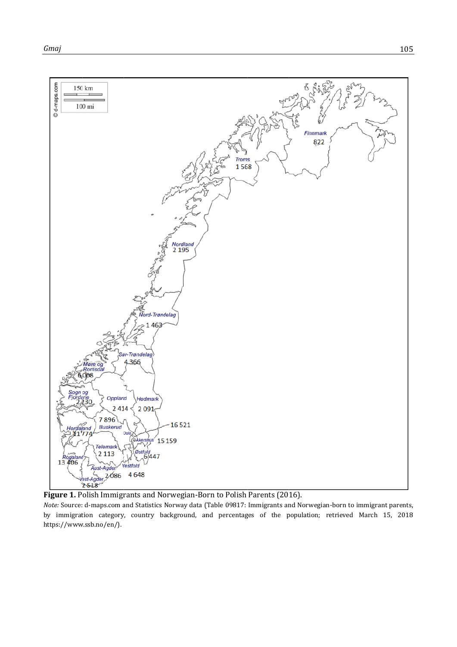

Figure 1. Polish Immigrants and Norwegian-Born to Polish Parents (2016).

Note: Source: d-maps.com and Statistics Norway data (Table 09817: Immigrants and Norwegian-born to immigrant parents, by immigration category, country background, and percentages of the population; retrieved March 15, 2018 https://www.ssb.no/en/).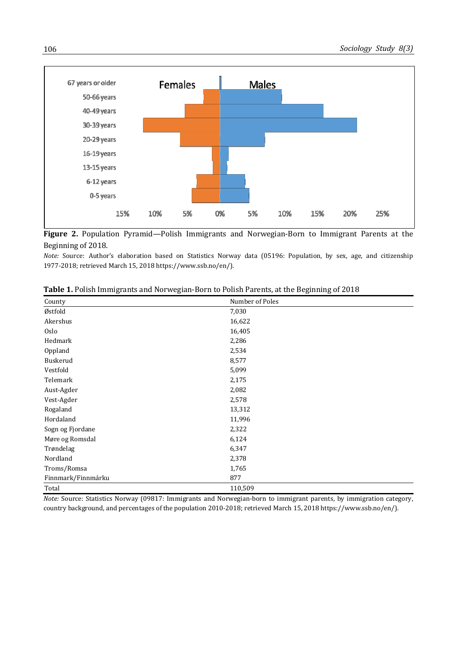

**Figure 2.** Population Pyramid—Polish Immigrants and Norwegian‐Born to Immigrant Parents at the Beginning of 2018.

*Note:* Source: Author's elaboration based on Statistics Norway data (05196: Population, by sex, age, and citizenship 1977‐2018; retrieved March 15, 2018 https://www.ssb.no/en/).

| County             | Number of Poles |
|--------------------|-----------------|
| Østfold            | 7,030           |
| Akershus           | 16,622          |
| Oslo               | 16,405          |
| Hedmark            | 2,286           |
| Oppland            | 2,534           |
| Buskerud           | 8,577           |
| Vestfold           | 5,099           |
| Telemark           | 2,175           |
| Aust-Agder         | 2,082           |
| Vest-Agder         | 2,578           |
| Rogaland           | 13,312          |
| Hordaland          | 11,996          |
| Sogn og Fjordane   | 2,322           |
| Møre og Romsdal    | 6,124           |
| Trøndelag          | 6,347           |
| Nordland           | 2,378           |
| Troms/Romsa        | 1,765           |
| Finnmark/Finnmárku | 877             |
| Total              | 110,509         |

|  |  |  | Table 1. Polish Immigrants and Norwegian-Born to Polish Parents, at the Beginning of 2018 |
|--|--|--|-------------------------------------------------------------------------------------------|
|  |  |  |                                                                                           |

*Note:* Source: Statistics Norway (09817: Immigrants and Norwegian-born to immigrant parents, by immigration category, country background, and percentages of the population 2010‐2018; retrieved March 15, 2018 https://www.ssb.no/en/).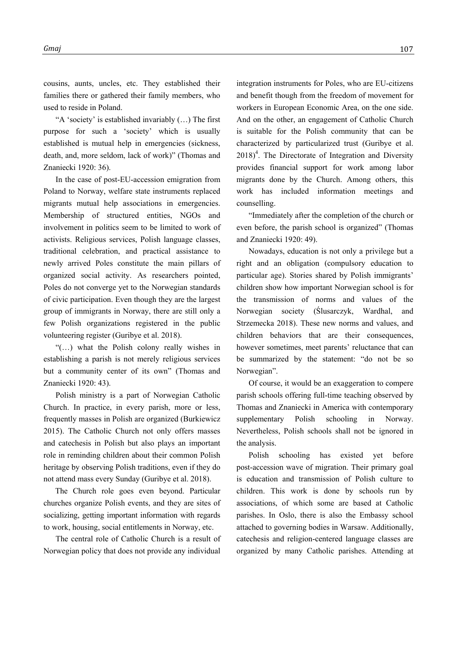cousins, aunts, uncles, etc. They established their families there or gathered their family members, who used to reside in Poland.

"A 'society' is established invariably (…) The first purpose for such a 'society' which is usually established is mutual help in emergencies (sickness, death, and, more seldom, lack of work)" (Thomas and Znaniecki 1920: 36).

In the case of post-EU-accession emigration from Poland to Norway, welfare state instruments replaced migrants mutual help associations in emergencies. Membership of structured entities, NGOs and involvement in politics seem to be limited to work of activists. Religious services, Polish language classes, traditional celebration, and practical assistance to newly arrived Poles constitute the main pillars of organized social activity. As researchers pointed, Poles do not converge yet to the Norwegian standards of civic participation. Even though they are the largest group of immigrants in Norway, there are still only a few Polish organizations registered in the public volunteering register (Guribye et al. 2018).

"(…) what the Polish colony really wishes in establishing a parish is not merely religious services but a community center of its own" (Thomas and Znaniecki 1920: 43).

Polish ministry is a part of Norwegian Catholic Church. In practice, in every parish, more or less, frequently masses in Polish are organized (Burkiewicz 2015). The Catholic Church not only offers masses and catechesis in Polish but also plays an important role in reminding children about their common Polish heritage by observing Polish traditions, even if they do not attend mass every Sunday (Guribye et al. 2018).

The Church role goes even beyond. Particular churches organize Polish events, and they are sites of socializing, getting important information with regards to work, housing, social entitlements in Norway, etc.

The central role of Catholic Church is a result of Norwegian policy that does not provide any individual

integration instruments for Poles, who are EU-citizens and benefit though from the freedom of movement for workers in European Economic Area, on the one side. And on the other, an engagement of Catholic Church is suitable for the Polish community that can be characterized by particularized trust (Guribye et al.  $2018$ <sup>4</sup>. The Directorate of Integration and Diversity provides financial support for work among labor migrants done by the Church. Among others, this work has included information meetings and counselling.

"Immediately after the completion of the church or even before, the parish school is organized" (Thomas and Znaniecki 1920: 49).

Nowadays, education is not only a privilege but a right and an obligation (compulsory education to particular age). Stories shared by Polish immigrants' children show how important Norwegian school is for the transmission of norms and values of the Norwegian society (Ślusarczyk, Wardhal, and Strzemecka 2018). These new norms and values, and children behaviors that are their consequences, however sometimes, meet parents' reluctance that can be summarized by the statement: "do not be so Norwegian".

Of course, it would be an exaggeration to compere parish schools offering full-time teaching observed by Thomas and Znaniecki in America with contemporary supplementary Polish schooling in Norway. Nevertheless, Polish schools shall not be ignored in the analysis.

Polish schooling has existed yet before post-accession wave of migration. Their primary goal is education and transmission of Polish culture to children. This work is done by schools run by associations, of which some are based at Catholic parishes. In Oslo, there is also the Embassy school attached to governing bodies in Warsaw. Additionally, catechesis and religion-centered language classes are organized by many Catholic parishes. Attending at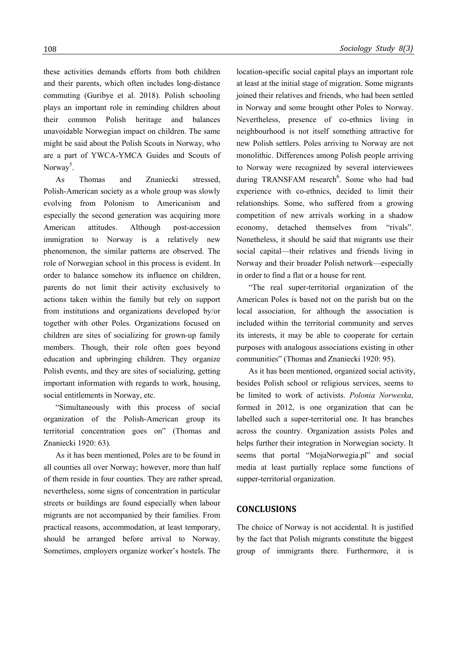these activities demands efforts from both children and their parents, which often includes long-distance commuting (Guribye et al. 2018). Polish schooling plays an important role in reminding children about their common Polish heritage and balances unavoidable Norwegian impact on children. The same might be said about the Polish Scouts in Norway, who are a part of YWCA-YMCA Guides and Scouts of Norway<sup>5</sup>.

As Thomas and Znaniecki stressed, Polish-American society as a whole group was slowly evolving from Polonism to Americanism and especially the second generation was acquiring more American attitudes. Although post-accession immigration to Norway is a relatively new phenomenon, the similar patterns are observed. The role of Norwegian school in this process is evident. In order to balance somehow its influence on children, parents do not limit their activity exclusively to actions taken within the family but rely on support from institutions and organizations developed by/or together with other Poles. Organizations focused on children are sites of socializing for grown-up family members. Though, their role often goes beyond education and upbringing children. They organize Polish events, and they are sites of socializing, getting important information with regards to work, housing, social entitlements in Norway, etc.

"Simultaneously with this process of social organization of the Polish-American group its territorial concentration goes on" (Thomas and Znaniecki 1920: 63).

As it has been mentioned, Poles are to be found in all counties all over Norway; however, more than half of them reside in four counties. They are rather spread, nevertheless, some signs of concentration in particular streets or buildings are found especially when labour migrants are not accompanied by their families. From practical reasons, accommodation, at least temporary, should be arranged before arrival to Norway. Sometimes, employers organize worker's hostels. The

location-specific social capital plays an important role at least at the initial stage of migration. Some migrants joined their relatives and friends, who had been settled in Norway and some brought other Poles to Norway. Nevertheless, presence of co-ethnics living in neighbourhood is not itself something attractive for new Polish settlers. Poles arriving to Norway are not monolithic. Differences among Polish people arriving to Norway were recognized by several interviewees during TRANSFAM research<sup>6</sup>. Some who had bad experience with co-ethnics, decided to limit their relationships. Some, who suffered from a growing competition of new arrivals working in a shadow economy, detached themselves from "rivals". Nonetheless, it should be said that migrants use their social capital—their relatives and friends living in Norway and their broader Polish network—especially in order to find a flat or a house for rent.

"The real super-territorial organization of the American Poles is based not on the parish but on the local association, for although the association is included within the territorial community and serves its interests, it may be able to cooperate for certain purposes with analogous associations existing in other communities" (Thomas and Znaniecki 1920: 95).

As it has been mentioned, organized social activity, besides Polish school or religious services, seems to be limited to work of activists. *Polonia Norweska*, formed in 2012, is one organization that can be labelled such a super-territorial one. It has branches across the country. Organization assists Poles and helps further their integration in Norwegian society. It seems that portal "MojaNorwegia.pl" and social media at least partially replace some functions of supper-territorial organization.

#### **CONCLUSIONS**

The choice of Norway is not accidental. It is justified by the fact that Polish migrants constitute the biggest group of immigrants there. Furthermore, it is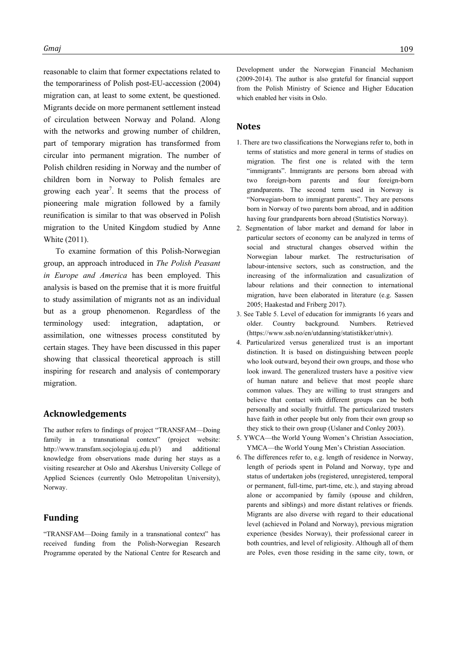reasonable to claim that former expectations related to the temporariness of Polish post-EU-accession (2004) migration can, at least to some extent, be questioned. Migrants decide on more permanent settlement instead of circulation between Norway and Poland. Along with the networks and growing number of children, part of temporary migration has transformed from circular into permanent migration. The number of Polish children residing in Norway and the number of children born in Norway to Polish females are growing each year<sup>7</sup>. It seems that the process of pioneering male migration followed by a family reunification is similar to that was observed in Polish migration to the United Kingdom studied by Anne White (2011).

To examine formation of this Polish-Norwegian group, an approach introduced in *The Polish Peasant in Europe and America* has been employed. This analysis is based on the premise that it is more fruitful to study assimilation of migrants not as an individual but as a group phenomenon. Regardless of the terminology used: integration, adaptation, or assimilation, one witnesses process constituted by certain stages. They have been discussed in this paper showing that classical theoretical approach is still inspiring for research and analysis of contemporary migration.

#### **Acknowledgements**

The author refers to findings of project "TRANSFAM—Doing family in a transnational context" (project website: http://www.transfam.socjologia.uj.edu.pl/) and additional knowledge from observations made during her stays as a visiting researcher at Oslo and Akershus University College of Applied Sciences (currently Oslo Metropolitan University), Norway.

## **Funding**

"TRANSFAM—Doing family in a transnational context" has received funding from the Polish-Norwegian Research Programme operated by the National Centre for Research and Development under the Norwegian Financial Mechanism (2009-2014). The author is also grateful for financial support from the Polish Ministry of Science and Higher Education which enabled her visits in Oslo.

## **Notes**

- 1. There are two classifications the Norwegians refer to, both in terms of statistics and more general in terms of studies on migration. The first one is related with the term "immigrants". Immigrants are persons born abroad with two foreign-born parents and four foreign-born grandparents. The second term used in Norway is "Norwegian-born to immigrant parents". They are persons born in Norway of two parents born abroad, and in addition having four grandparents born abroad (Statistics Norway).
- 2. Segmentation of labor market and demand for labor in particular sectors of economy can be analyzed in terms of social and structural changes observed within the Norwegian labour market. The restructurisation of labour-intensive sectors, such as construction, and the increasing of the informalization and casualization of labour relations and their connection to international migration, have been elaborated in literature (e.g. Sassen 2005; Haakestad and Friberg 2017).
- 3. See Table 5. Level of education for immigrants 16 years and older. Country background. Numbers. Retrieved (https://www.ssb.no/en/utdanning/statistikker/utniv).
- 4. Particularized versus generalized trust is an important distinction. It is based on distinguishing between people who look outward, beyond their own groups, and those who look inward. The generalized trusters have a positive view of human nature and believe that most people share common values. They are willing to trust strangers and believe that contact with different groups can be both personally and socially fruitful. The particularized trusters have faith in other people but only from their own group so they stick to their own group (Uslaner and Conley 2003).
- 5. YWCA—the World Young Women's Christian Association, YMCA—the World Young Men's Christian Association.
- 6. The differences refer to, e.g. length of residence in Norway, length of periods spent in Poland and Norway, type and status of undertaken jobs (registered, unregistered, temporal or permanent, full-time, part-time, etc.), and staying abroad alone or accompanied by family (spouse and children, parents and siblings) and more distant relatives or friends. Migrants are also diverse with regard to their educational level (achieved in Poland and Norway), previous migration experience (besides Norway), their professional career in both countries, and level of religiosity. Although all of them are Poles, even those residing in the same city, town, or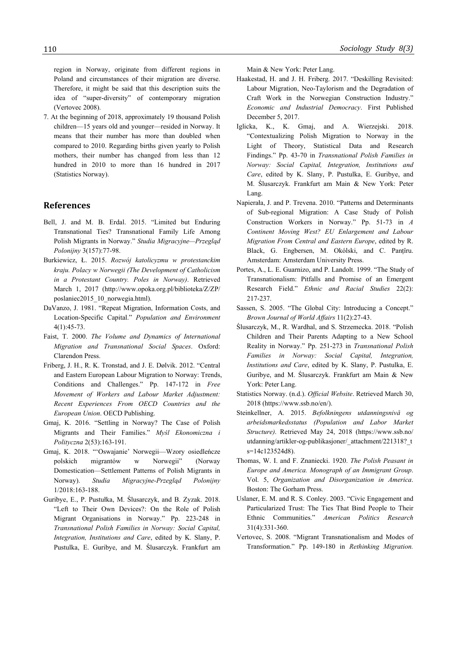region in Norway, originate from different regions in Poland and circumstances of their migration are diverse. Therefore, it might be said that this description suits the idea of "super-diversity" of contemporary migration (Vertovec 2008).

7. At the beginning of 2018, approximately 19 thousand Polish children—15 years old and younger—resided in Norway. It means that their number has more than doubled when compared to 2010. Regarding births given yearly to Polish mothers, their number has changed from less than 12 hundred in 2010 to more than 16 hundred in 2017 (Statistics Norway).

## **References**

- Bell, J. and M. B. Erdal. 2015. "Limited but Enduring Transnational Ties? Transnational Family Life Among Polish Migrants in Norway." *Studia Migracyjne—Przegląd Polonijny* 3(157):77-98.
- Burkiewicz, Ł. 2015. *Rozwój katolicyzmu w protestanckim kraju. Polacy w Norwegii (The Development of Catholicism in a Protestant Country. Poles in Norway)*. Retrieved March 1, 2017 (http://www.opoka.org.pl/biblioteka/Z/ZP/ poslaniec2015\_10\_norwegia.html).
- DaVanzo, J. 1981. "Repeat Migration, Information Costs, and Location-Specific Capital." *Population and Environment* 4(1):45-73.
- Faist, T. 2000. *The Volume and Dynamics of International Migration and Transnational Social Spaces*. Oxford: Clarendon Press.
- Friberg, J. H., R. K. Tronstad, and J. E. Dølvik. 2012. "Central and Eastern European Labour Migration to Norway: Trends, Conditions and Challenges." Pp. 147-172 in *Free Movement of Workers and Labour Market Adjustment: Recent Experiences From OECD Countries and the European Union*. OECD Publishing.
- Gmaj, K. 2016. "Settling in Norway? The Case of Polish Migrants and Their Families." *Myśl Ekonomiczna i Polityczna* 2(53):163-191.
- Gmaj, K. 2018. "'Oswajanie' Norwegii—Wzory osiedleńcze polskich migrantów w Norwegii" (Norway Domestication—Settlement Patterns of Polish Migrants in Norway). *Studia Migracyjne-Przegląd Polonijny* 1/2018:163-188.
- Guribye, E., P. Pustułka, M. Ślusarczyk, and B. Zyzak. 2018. "Left to Their Own Devices?: On the Role of Polish Migrant Organisations in Norway." Pp. 223-248 in *Transnational Polish Families in Norway: Social Capital, Integration, Institutions and Care*, edited by K. Slany, P. Pustulka, E. Guribye, and M. Ślusarczyk. Frankfurt am

Main & New York: Peter Lang.

- Haakestad, H. and J. H. Friberg. 2017. "Deskilling Revisited: Labour Migration, Neo-Taylorism and the Degradation of Craft Work in the Norwegian Construction Industry." *Economic and Industrial Democracy*. First Published December 5, 2017.
- Iglicka, K., K. Gmaj, and A. Wierzejski. 2018. "Contextualizing Polish Migration to Norway in the Light of Theory, Statistical Data and Research Findings." Pp. 43-70 in *Transnational Polish Families in Norway: Social Capital, Integration, Institutions and Care*, edited by K. Slany, P. Pustulka, E. Guribye, and M. Ślusarczyk. Frankfurt am Main & New York: Peter Lang.
- Napierała, J. and P. Trevena. 2010. "Patterns and Determinants of Sub-regional Migration: A Case Study of Polish Construction Workers in Norway." Pp. 51-73 in *A Continent Moving West? EU Enlargement and Labour Migration From Central and Eastern Europe*, edited by R. Black, G. Engbersen, M. Okólski, and C. Panţîru. Amsterdam: Amsterdam University Press.
- Portes, A., L. E. Guarnizo, and P. Landolt. 1999. "The Study of Transnationalism: Pitfalls and Promise of an Emergent Research Field." *Ethnic and Racial Studies* 22(2): 217-237.
- Sassen, S. 2005. "The Global City: Introducing a Concept." *Brown Journal of World Affairs* 11(2):27-43.
- Ślusarczyk, M., R. Wardhal, and S. Strzemecka. 2018. "Polish Children and Their Parents Adapting to a New School Reality in Norway." Pp. 251-273 in *Transnational Polish Families in Norway: Social Capital, Integration, Institutions and Care*, edited by K. Slany, P. Pustulka, E. Guribye, and M. Ślusarczyk. Frankfurt am Main & New York: Peter Lang.
- Statistics Norway. (n.d.). *Official Website*. Retrieved March 30, 2018 (https://www.ssb.no/en/).
- Steinkellner, A. 2015. *Befolkningens utdanningsnivå og arbeidsmarkedsstatus (Population and Labor Market Structure)*. Retrieved May 24, 2018 (https://www.ssb.no/ utdanning/artikler-og-publikasjoner/\_attachment/221318?\_t s=14c123524d8).
- Thomas, W. I. and F. Znaniecki. 1920. *The Polish Peasant in Europe and America. Monograph of an Immigrant Group*. Vol. 5, *Organization and Disorganization in America*. Boston: The Gorham Press.
- Uslaner, E. M. and R. S. Conley. 2003. "Civic Engagement and Particularized Trust: The Ties That Bind People to Their Ethnic Communities." *American Politics Research* 31(4):331-360.
- Vertovec, S. 2008. "Migrant Transnationalism and Modes of Transformation." Pp. 149-180 in *Rethinking Migration.*